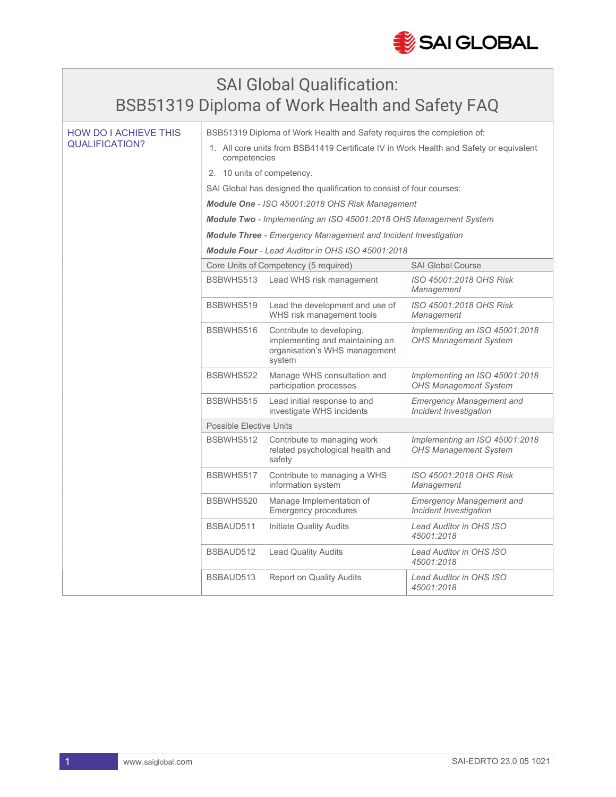

## SAI Global Qualification: BSB51319 Diploma of Work Health and Safety FAQ

| <b>HOW DO I ACHIEVE THIS</b><br>QUALIFICATION? | BSB51319 Diploma of Work Health and Safety requires the completion of:                                 |                                                                                                         |                                                                |  |
|------------------------------------------------|--------------------------------------------------------------------------------------------------------|---------------------------------------------------------------------------------------------------------|----------------------------------------------------------------|--|
|                                                | 1. All core units from BSB41419 Certificate IV in Work Health and Safety or equivalent<br>competencies |                                                                                                         |                                                                |  |
|                                                | 2. 10 units of competency.                                                                             |                                                                                                         |                                                                |  |
|                                                | SAI Global has designed the qualification to consist of four courses:                                  |                                                                                                         |                                                                |  |
|                                                | Module One - ISO 45001:2018 OHS Risk Management                                                        |                                                                                                         |                                                                |  |
|                                                | Module Two - Implementing an ISO 45001:2018 OHS Management System                                      |                                                                                                         |                                                                |  |
|                                                | <b>Module Three</b> - Emergency Management and Incident Investigation                                  |                                                                                                         |                                                                |  |
|                                                | Module Four - Lead Auditor in OHS ISO 45001:2018                                                       |                                                                                                         |                                                                |  |
|                                                | Core Units of Competency (5 required)                                                                  |                                                                                                         | <b>SAI Global Course</b>                                       |  |
|                                                | BSBWHS513                                                                                              | Lead WHS risk management                                                                                | ISO 45001:2018 OHS Risk<br>Management                          |  |
|                                                | BSBWHS519                                                                                              | Lead the development and use of<br>WHS risk management tools                                            | ISO 45001:2018 OHS Risk<br>Management                          |  |
|                                                | BSBWHS516                                                                                              | Contribute to developing,<br>implementing and maintaining an<br>organisation's WHS management<br>system | Implementing an ISO 45001:2018<br><b>OHS Management System</b> |  |
|                                                | BSBWHS522                                                                                              | Manage WHS consultation and<br>participation processes                                                  | Implementing an ISO 45001:2018<br><b>OHS Management System</b> |  |
|                                                | BSBWHS515                                                                                              | Lead initial response to and<br>investigate WHS incidents                                               | <b>Emergency Management and</b><br>Incident Investigation      |  |
|                                                | <b>Possible Elective Units</b>                                                                         |                                                                                                         |                                                                |  |
|                                                | BSBWHS512                                                                                              | Contribute to managing work<br>related psychological health and<br>safety                               | Implementing an ISO 45001:2018<br><b>OHS Management System</b> |  |
|                                                | BSBWHS517                                                                                              | Contribute to managing a WHS<br>information system                                                      | ISO 45001:2018 OHS Risk<br>Management                          |  |
|                                                | BSBWHS520                                                                                              | Manage Implementation of<br><b>Emergency procedures</b>                                                 | <b>Emergency Management and</b><br>Incident Investigation      |  |
|                                                | BSBAUD511                                                                                              | Initiate Quality Audits                                                                                 | Lead Auditor in OHS ISO<br>45001:2018                          |  |
|                                                | BSBAUD512                                                                                              | <b>Lead Quality Audits</b>                                                                              | Lead Auditor in OHS ISO<br>45001:2018                          |  |
|                                                | BSBAUD513                                                                                              | <b>Report on Quality Audits</b>                                                                         | Lead Auditor in OHS ISO<br>45001:2018                          |  |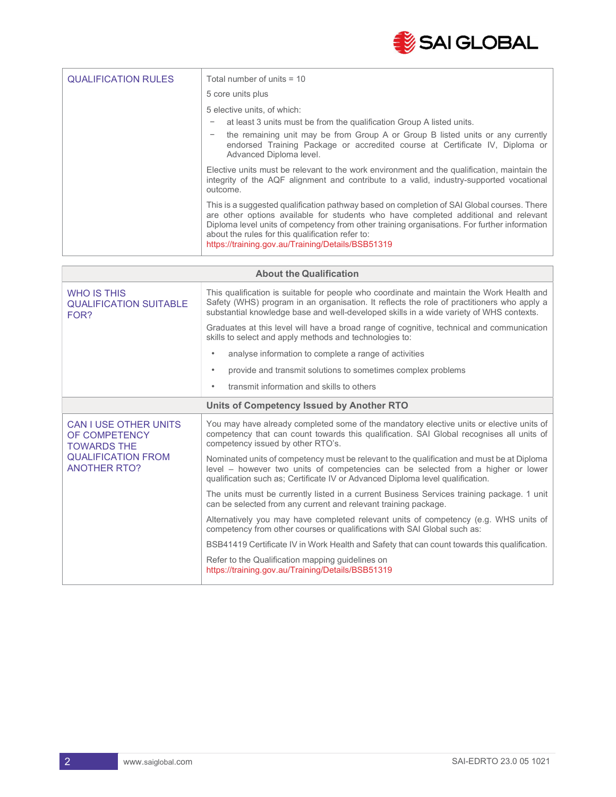

| <b>QUALIFICATION RULES</b> | Total number of units $=$ 10                                                                                                                                                                                                                                                                                                                                                               |  |  |
|----------------------------|--------------------------------------------------------------------------------------------------------------------------------------------------------------------------------------------------------------------------------------------------------------------------------------------------------------------------------------------------------------------------------------------|--|--|
|                            | 5 core units plus                                                                                                                                                                                                                                                                                                                                                                          |  |  |
|                            | 5 elective units, of which:                                                                                                                                                                                                                                                                                                                                                                |  |  |
|                            | at least 3 units must be from the qualification Group A listed units.                                                                                                                                                                                                                                                                                                                      |  |  |
|                            | the remaining unit may be from Group A or Group B listed units or any currently<br>endorsed Training Package or accredited course at Certificate IV, Diploma or<br>Advanced Diploma level.                                                                                                                                                                                                 |  |  |
|                            | Elective units must be relevant to the work environment and the qualification, maintain the<br>integrity of the AQF alignment and contribute to a valid, industry-supported vocational<br>outcome.                                                                                                                                                                                         |  |  |
|                            | This is a suggested qualification pathway based on completion of SAI Global courses. There<br>are other options available for students who have completed additional and relevant<br>Diploma level units of competency from other training organisations. For further information<br>about the rules for this qualification refer to:<br>https://training.gov.au/Training/Details/BSB51319 |  |  |

| <b>About the Qualification</b>                                                                                          |                                                                                                                                                                                                                                                                                    |  |
|-------------------------------------------------------------------------------------------------------------------------|------------------------------------------------------------------------------------------------------------------------------------------------------------------------------------------------------------------------------------------------------------------------------------|--|
| <b>WHO IS THIS</b><br><b>QUALIFICATION SUITABLE</b><br>FOR?                                                             | This qualification is suitable for people who coordinate and maintain the Work Health and<br>Safety (WHS) program in an organisation. It reflects the role of practitioners who apply a<br>substantial knowledge base and well-developed skills in a wide variety of WHS contexts. |  |
|                                                                                                                         | Graduates at this level will have a broad range of cognitive, technical and communication<br>skills to select and apply methods and technologies to:                                                                                                                               |  |
|                                                                                                                         | analyse information to complete a range of activities<br>$\bullet$                                                                                                                                                                                                                 |  |
|                                                                                                                         | provide and transmit solutions to sometimes complex problems<br>$\bullet$                                                                                                                                                                                                          |  |
|                                                                                                                         | transmit information and skills to others<br>$\bullet$                                                                                                                                                                                                                             |  |
| Units of Competency Issued by Another RTO                                                                               |                                                                                                                                                                                                                                                                                    |  |
| <b>CAN I USE OTHER UNITS</b><br>OF COMPETENCY<br><b>TOWARDS THE</b><br><b>QUALIFICATION FROM</b><br><b>ANOTHER RTO?</b> | You may have already completed some of the mandatory elective units or elective units of<br>competency that can count towards this qualification. SAI Global recognises all units of<br>competency issued by other RTO's.                                                          |  |
|                                                                                                                         | Nominated units of competency must be relevant to the qualification and must be at Diploma<br>level – however two units of competencies can be selected from a higher or lower<br>qualification such as; Certificate IV or Advanced Diploma level qualification.                   |  |
|                                                                                                                         | The units must be currently listed in a current Business Services training package. 1 unit<br>can be selected from any current and relevant training package.                                                                                                                      |  |
|                                                                                                                         | Alternatively you may have completed relevant units of competency (e.g. WHS units of<br>competency from other courses or qualifications with SAI Global such as:                                                                                                                   |  |
|                                                                                                                         | BSB41419 Certificate IV in Work Health and Safety that can count towards this qualification.                                                                                                                                                                                       |  |
|                                                                                                                         | Refer to the Qualification mapping guidelines on<br>https://training.gov.au/Training/Details/BSB51319                                                                                                                                                                              |  |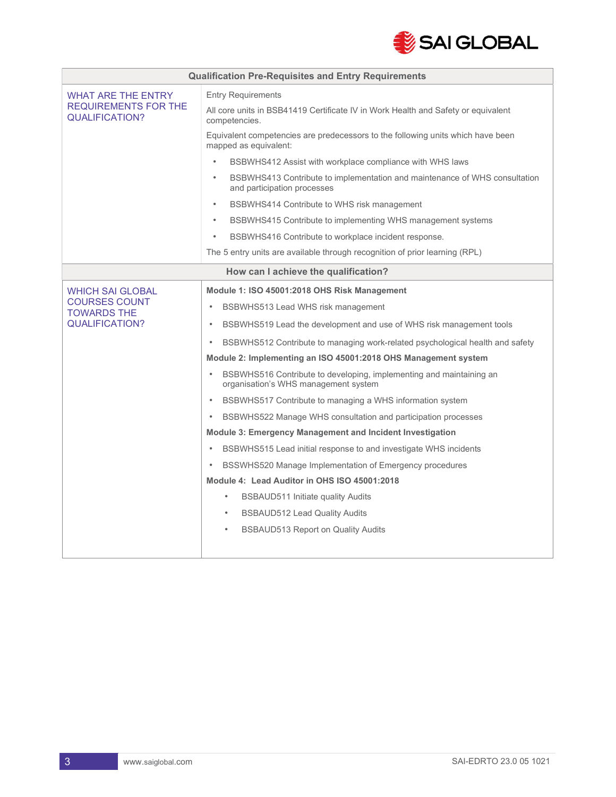

| <b>Qualification Pre-Requisites and Entry Requirements</b>                 |                                                                                                                                 |  |  |
|----------------------------------------------------------------------------|---------------------------------------------------------------------------------------------------------------------------------|--|--|
| <b>WHAT ARE THE ENTRY</b><br><b>REQUIREMENTS FOR THE</b><br>QUALIFICATION? | <b>Entry Requirements</b><br>All core units in BSB41419 Certificate IV in Work Health and Safety or equivalent<br>competencies. |  |  |
|                                                                            | Equivalent competencies are predecessors to the following units which have been<br>mapped as equivalent:                        |  |  |
|                                                                            | $\bullet$<br>BSBWHS412 Assist with workplace compliance with WHS laws                                                           |  |  |
|                                                                            | BSBWHS413 Contribute to implementation and maintenance of WHS consultation<br>$\bullet$<br>and participation processes          |  |  |
|                                                                            | BSBWHS414 Contribute to WHS risk management<br>$\bullet$                                                                        |  |  |
|                                                                            | BSBWHS415 Contribute to implementing WHS management systems<br>$\bullet$                                                        |  |  |
|                                                                            | BSBWHS416 Contribute to workplace incident response.<br>$\bullet$                                                               |  |  |
|                                                                            | The 5 entry units are available through recognition of prior learning (RPL)                                                     |  |  |
| How can I achieve the qualification?                                       |                                                                                                                                 |  |  |
| <b>WHICH SAI GLOBAL</b>                                                    | Module 1: ISO 45001:2018 OHS Risk Management                                                                                    |  |  |
| <b>COURSES COUNT</b><br><b>TOWARDS THE</b>                                 | BSBWHS513 Lead WHS risk management<br>$\bullet$                                                                                 |  |  |
| <b>QUALIFICATION?</b>                                                      | BSBWHS519 Lead the development and use of WHS risk management tools<br>$\bullet$                                                |  |  |
|                                                                            | BSBWHS512 Contribute to managing work-related psychological health and safety<br>$\bullet$                                      |  |  |
|                                                                            | Module 2: Implementing an ISO 45001:2018 OHS Management system                                                                  |  |  |
|                                                                            | BSBWHS516 Contribute to developing, implementing and maintaining an<br>$\bullet$<br>organisation's WHS management system        |  |  |
|                                                                            | BSBWHS517 Contribute to managing a WHS information system<br>$\bullet$                                                          |  |  |
|                                                                            | BSBWHS522 Manage WHS consultation and participation processes<br>$\bullet$                                                      |  |  |
|                                                                            | <b>Module 3: Emergency Management and Incident Investigation</b>                                                                |  |  |
|                                                                            | BSBWHS515 Lead initial response to and investigate WHS incidents<br>$\bullet$                                                   |  |  |
|                                                                            | BSSWHS520 Manage Implementation of Emergency procedures                                                                         |  |  |
|                                                                            | Module 4: Lead Auditor in OHS ISO 45001:2018                                                                                    |  |  |
|                                                                            | BSBAUD511 Initiate quality Audits<br>$\bullet$                                                                                  |  |  |
|                                                                            | <b>BSBAUD512 Lead Quality Audits</b><br>$\bullet$                                                                               |  |  |
|                                                                            | <b>BSBAUD513 Report on Quality Audits</b><br>$\bullet$                                                                          |  |  |
|                                                                            |                                                                                                                                 |  |  |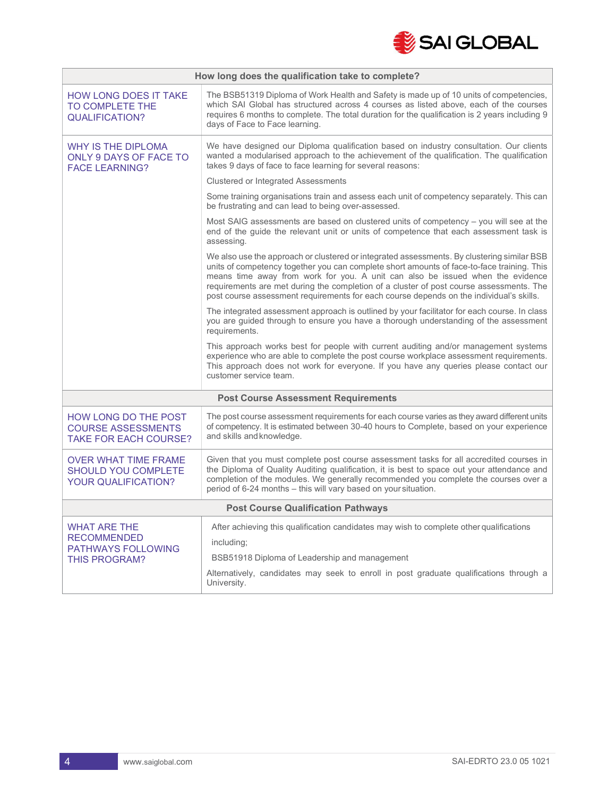

| How long does the qualification take to complete?                                 |                                                                                                                                                                                                                                                                                                                                                                                                                                                                  |  |
|-----------------------------------------------------------------------------------|------------------------------------------------------------------------------------------------------------------------------------------------------------------------------------------------------------------------------------------------------------------------------------------------------------------------------------------------------------------------------------------------------------------------------------------------------------------|--|
| <b>HOW LONG DOES IT TAKE</b><br>TO COMPLETE THE<br><b>QUALIFICATION?</b>          | The BSB51319 Diploma of Work Health and Safety is made up of 10 units of competencies,<br>which SAI Global has structured across 4 courses as listed above, each of the courses<br>requires 6 months to complete. The total duration for the qualification is 2 years including 9<br>days of Face to Face learning.                                                                                                                                              |  |
| WHY IS THE DIPLOMA<br>ONLY 9 DAYS OF FACE TO<br><b>FACE LEARNING?</b>             | We have designed our Diploma qualification based on industry consultation. Our clients<br>wanted a modularised approach to the achievement of the qualification. The qualification<br>takes 9 days of face to face learning for several reasons:                                                                                                                                                                                                                 |  |
|                                                                                   | <b>Clustered or Integrated Assessments</b>                                                                                                                                                                                                                                                                                                                                                                                                                       |  |
|                                                                                   | Some training organisations train and assess each unit of competency separately. This can<br>be frustrating and can lead to being over-assessed.                                                                                                                                                                                                                                                                                                                 |  |
|                                                                                   | Most SAIG assessments are based on clustered units of competency - you will see at the<br>end of the guide the relevant unit or units of competence that each assessment task is<br>assessing.                                                                                                                                                                                                                                                                   |  |
|                                                                                   | We also use the approach or clustered or integrated assessments. By clustering similar BSB<br>units of competency together you can complete short amounts of face-to-face training. This<br>means time away from work for you. A unit can also be issued when the evidence<br>requirements are met during the completion of a cluster of post course assessments. The<br>post course assessment requirements for each course depends on the individual's skills. |  |
|                                                                                   | The integrated assessment approach is outlined by your facilitator for each course. In class<br>you are guided through to ensure you have a thorough understanding of the assessment<br>requirements.                                                                                                                                                                                                                                                            |  |
|                                                                                   | This approach works best for people with current auditing and/or management systems<br>experience who are able to complete the post course workplace assessment requirements.<br>This approach does not work for everyone. If you have any queries please contact our<br>customer service team.                                                                                                                                                                  |  |
| <b>Post Course Assessment Requirements</b>                                        |                                                                                                                                                                                                                                                                                                                                                                                                                                                                  |  |
| HOW LONG DO THE POST<br><b>COURSE ASSESSMENTS</b><br><b>TAKE FOR EACH COURSE?</b> | The post course assessment requirements for each course varies as they award different units<br>of competency. It is estimated between 30-40 hours to Complete, based on your experience<br>and skills and knowledge.                                                                                                                                                                                                                                            |  |
| OVER WHAT TIME FRAME<br><b>SHOULD YOU COMPLETE</b><br><b>YOUR QUALIFICATION?</b>  | Given that you must complete post course assessment tasks for all accredited courses in<br>the Diploma of Quality Auditing qualification, it is best to space out your attendance and<br>completion of the modules. We generally recommended you complete the courses over a<br>period of 6-24 months - this will vary based on your situation.                                                                                                                  |  |
| <b>Post Course Qualification Pathways</b>                                         |                                                                                                                                                                                                                                                                                                                                                                                                                                                                  |  |
| <b>WHAT ARE THE</b>                                                               | After achieving this qualification candidates may wish to complete other qualifications                                                                                                                                                                                                                                                                                                                                                                          |  |
| <b>RECOMMENDED</b><br><b>PATHWAYS FOLLOWING</b>                                   | including;                                                                                                                                                                                                                                                                                                                                                                                                                                                       |  |
| <b>THIS PROGRAM?</b>                                                              | BSB51918 Diploma of Leadership and management                                                                                                                                                                                                                                                                                                                                                                                                                    |  |
|                                                                                   | Alternatively, candidates may seek to enroll in post graduate qualifications through a<br>University.                                                                                                                                                                                                                                                                                                                                                            |  |